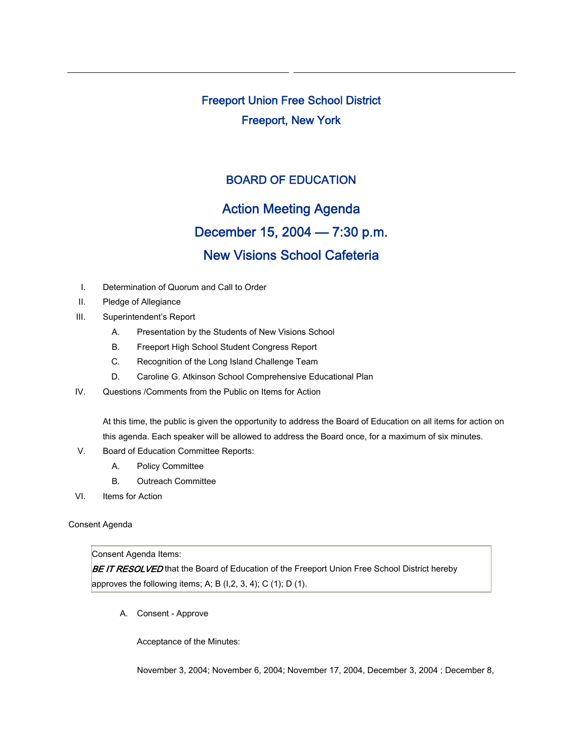Freeport Union Free School District Freeport, New York

## BOARD OF EDUCATION

# Action Meeting Agenda December 15, 2004 — 7:30 p.m. New Visions School Cafeteria

- I. Determination of Quorum and Call to Order
- II. Pledge of Allegiance
- III. Superintendent's Report
	- A. Presentation by the Students of New Visions School
	- B. Freeport High School Student Congress Report
	- C. Recognition of the Long Island Challenge Team
	- D. Caroline G. Atkinson School Comprehensive Educational Plan
- IV. Questions /Comments from the Public on Items for Action

At this time, the public is given the opportunity to address the Board of Education on all items for action on this agenda. Each speaker will be allowed to address the Board once, for a maximum of six minutes.

- V. Board of Education Committee Reports:
	- A. Policy Committee
	- B. Outreach Committee
- VI. Items for Action

#### Consent Agenda

#### Consent Agenda Items:

BE IT RESOLVED that the Board of Education of the Freeport Union Free School District hereby approves the following items; A; B  $(l, 2, 3, 4)$ ; C  $(1)$ ; D  $(1)$ .

A. Consent - Approve

Acceptance of the Minutes:

November 3, 2004; November 6, 2004; November 17, 2004, December 3, 2004 ; December 8,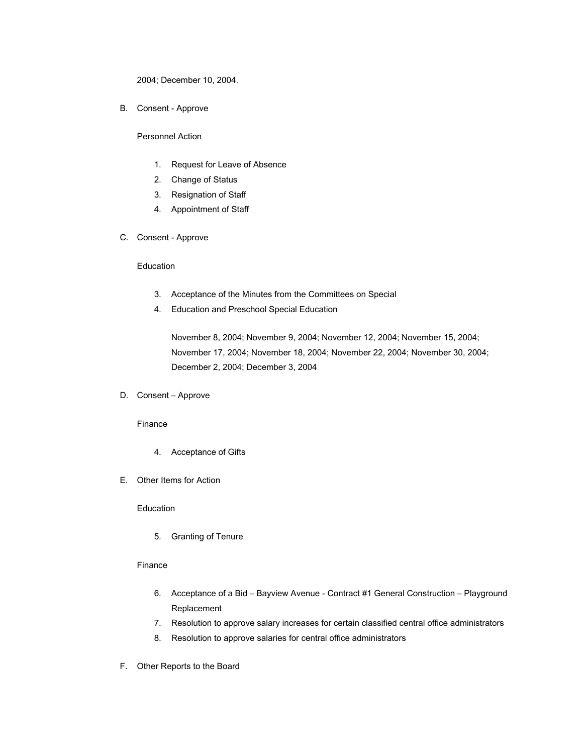2004; December 10, 2004.

B. Consent - Approve

Personnel Action

- 1. Request for Leave of Absence
- 2. Change of Status
- 3. Resignation of Staff
- 4. Appointment of Staff
- C. Consent Approve

#### Education

- 3. Acceptance of the Minutes from the Committees on Special
- 4. Education and Preschool Special Education

November 8, 2004; November 9, 2004; November 12, 2004; November 15, 2004; November 17, 2004; November 18, 2004; November 22, 2004; November 30, 2004; December 2, 2004; December 3, 2004

D. Consent – Approve

#### Finance

- 4. Acceptance of Gifts
- E. Other Items for Action

### Education

5. Granting of Tenure

#### Finance

- 6. Acceptance of a Bid Bayview Avenue Contract #1 General Construction Playground Replacement
- 7. Resolution to approve salary increases for certain classified central office administrators
- 8. Resolution to approve salaries for central office administrators
- F. Other Reports to the Board